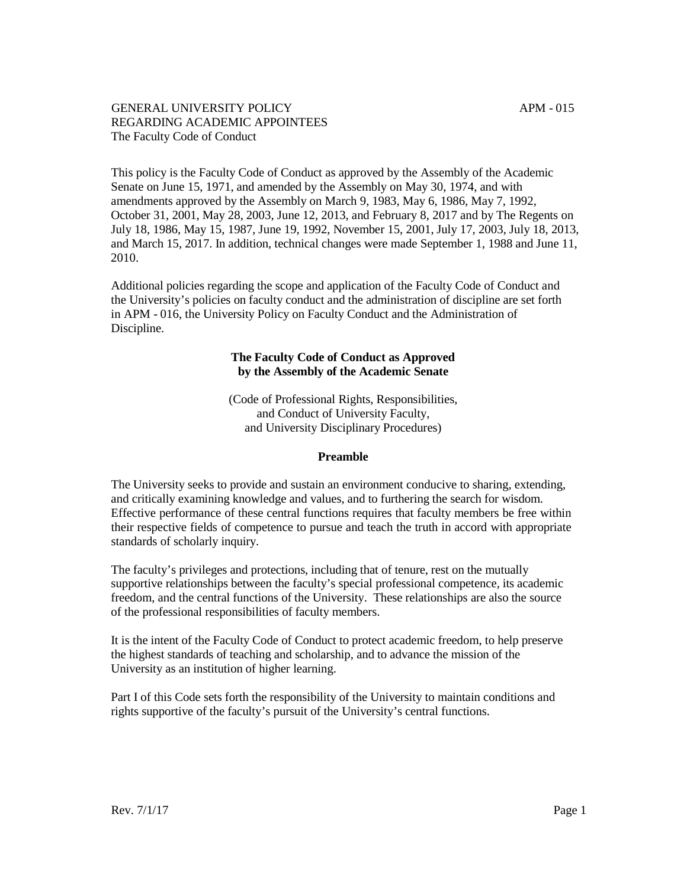<span id="page-0-0"></span>This policy is the Faculty Code of Conduct as approved by the Assembly of the Academic Senate on June 15, 1971, and amended by the Assembly on May 30, 1974, and with amendments approved by the Assembly on March 9, 1983, May 6, 1986, May 7, 1992, October 31, 2001, May 28, 2003, June 12, 2013, and February 8, 2017 and by The Regents on July 18, 1986, May 15, 1987, June 19, 1992, November 15, 2001, July 17, 2003, July 18, 2013, and March 15, 2017. In addition, technical changes were made September 1, 1988 and June 11, 2010.

Additional policies regarding the scope and application of the Faculty Code of Conduct and the University's policies on faculty conduct and the administration of discipline are set forth in [APM](#page-0-0) - 016, the University Policy on Faculty Conduct and the Administration of Discipline.

#### **The Faculty Code of Conduct as Approved by the Assembly of the Academic Senate**

(Code of Professional Rights, Responsibilities, and Conduct of University Faculty, and University Disciplinary Procedures)

## **Preamble**

The University seeks to provide and sustain an environment conducive to sharing, extending, and critically examining knowledge and values, and to furthering the search for wisdom. Effective performance of these central functions requires that faculty members be free within their respective fields of competence to pursue and teach the truth in accord with appropriate standards of scholarly inquiry.

The faculty's privileges and protections, including that of tenure, rest on the mutually supportive relationships between the faculty's special professional competence, its academic freedom, and the central functions of the University. These relationships are also the source of the professional responsibilities of faculty members.

It is the intent of the Faculty Code of Conduct to protect academic freedom, to help preserve the highest standards of teaching and scholarship, and to advance the mission of the University as an institution of higher learning.

Part I of this Code sets forth the responsibility of the University to maintain conditions and rights supportive of the faculty's pursuit of the University's central functions.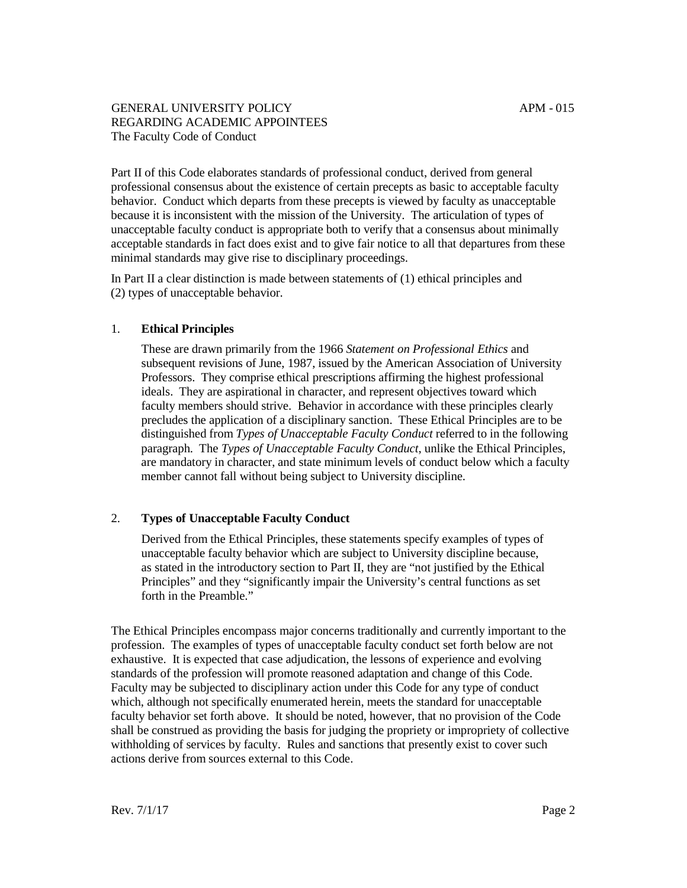Part II of this Code elaborates standards of professional conduct, derived from general professional consensus about the existence of certain precepts as basic to acceptable faculty behavior. Conduct which departs from these precepts is viewed by faculty as unacceptable because it is inconsistent with the mission of the University. The articulation of types of unacceptable faculty conduct is appropriate both to verify that a consensus about minimally acceptable standards in fact does exist and to give fair notice to all that departures from these minimal standards may give rise to disciplinary proceedings.

In Part II a clear distinction is made between statements of (1) ethical principles and (2) types of unacceptable behavior.

#### 1. **Ethical Principles**

These are drawn primarily from the 1966 *Statement on Professional Ethics* and subsequent revisions of June, 1987, issued by the American Association of University Professors. They comprise ethical prescriptions affirming the highest professional ideals. They are aspirational in character, and represent objectives toward which faculty members should strive. Behavior in accordance with these principles clearly precludes the application of a disciplinary sanction. These Ethical Principles are to be distinguished from *Types of Unacceptable Faculty Conduct* referred to in the following paragraph. The *Types of Unacceptable Faculty Conduct*, unlike the Ethical Principles, are mandatory in character, and state minimum levels of conduct below which a faculty member cannot fall without being subject to University discipline.

## 2. **Types of Unacceptable Faculty Conduct**

Derived from the Ethical Principles, these statements specify examples of types of unacceptable faculty behavior which are subject to University discipline because, as stated in the introductory section to Part II, they are "not justified by the Ethical Principles" and they "significantly impair the University's central functions as set forth in the Preamble."

The Ethical Principles encompass major concerns traditionally and currently important to the profession. The examples of types of unacceptable faculty conduct set forth below are not exhaustive. It is expected that case adjudication, the lessons of experience and evolving standards of the profession will promote reasoned adaptation and change of this Code. Faculty may be subjected to disciplinary action under this Code for any type of conduct which, although not specifically enumerated herein, meets the standard for unacceptable faculty behavior set forth above. It should be noted, however, that no provision of the Code shall be construed as providing the basis for judging the propriety or impropriety of collective withholding of services by faculty. Rules and sanctions that presently exist to cover such actions derive from sources external to this Code.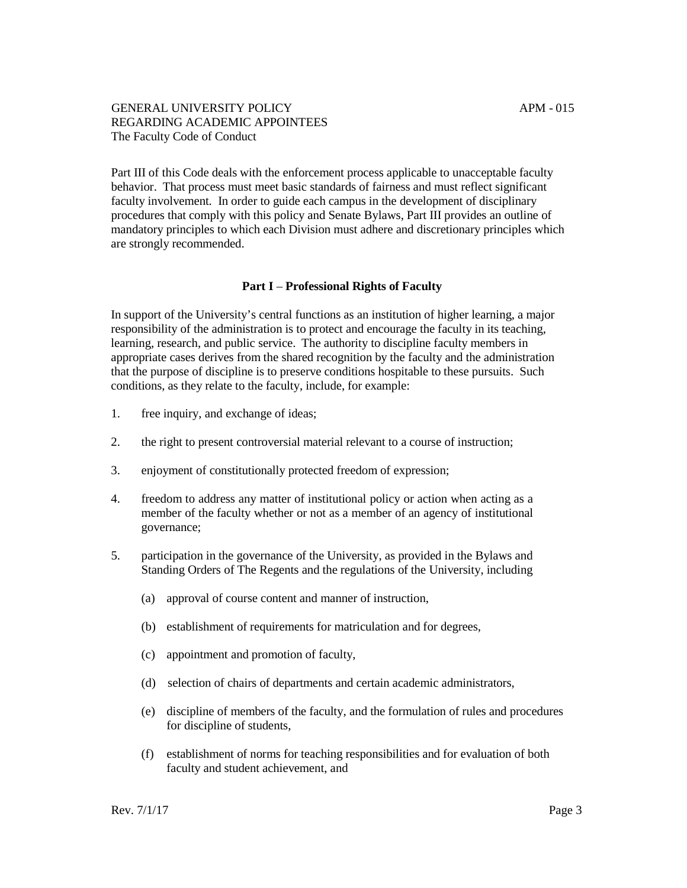Part III of this Code deals with the enforcement process applicable to unacceptable faculty behavior. That process must meet basic standards of fairness and must reflect significant faculty involvement. In order to guide each campus in the development of disciplinary procedures that comply with this policy and Senate Bylaws, Part III provides an outline of mandatory principles to which each Division must adhere and discretionary principles which are strongly recommended.

#### **Part I** – **Professional Rights of Faculty**

In support of the University's central functions as an institution of higher learning, a major responsibility of the administration is to protect and encourage the faculty in its teaching, learning, research, and public service. The authority to discipline faculty members in appropriate cases derives from the shared recognition by the faculty and the administration that the purpose of discipline is to preserve conditions hospitable to these pursuits. Such conditions, as they relate to the faculty, include, for example:

- 1. free inquiry, and exchange of ideas;
- 2. the right to present controversial material relevant to a course of instruction;
- 3. enjoyment of constitutionally protected freedom of expression;
- 4. freedom to address any matter of institutional policy or action when acting as a member of the faculty whether or not as a member of an agency of institutional governance;
- 5. participation in the governance of the University, as provided in the Bylaws and Standing Orders of The Regents and the regulations of the University, including
	- (a) approval of course content and manner of instruction,
	- (b) establishment of requirements for matriculation and for degrees,
	- (c) appointment and promotion of faculty,
	- (d) selection of chairs of departments and certain academic administrators,
	- (e) discipline of members of the faculty, and the formulation of rules and procedures for discipline of students,
	- (f) establishment of norms for teaching responsibilities and for evaluation of both faculty and student achievement, and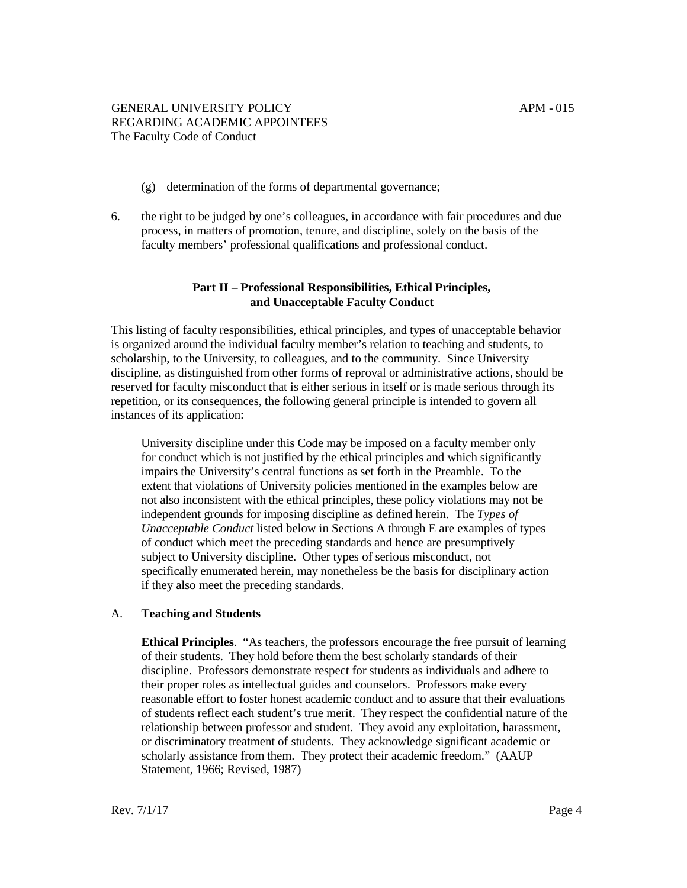- (g) determination of the forms of departmental governance;
- 6. the right to be judged by one's colleagues, in accordance with fair procedures and due process, in matters of promotion, tenure, and discipline, solely on the basis of the faculty members' professional qualifications and professional conduct.

# **Part II** – **Professional Responsibilities, Ethical Principles, and Unacceptable Faculty Conduct**

This listing of faculty responsibilities, ethical principles, and types of unacceptable behavior is organized around the individual faculty member's relation to teaching and students, to scholarship, to the University, to colleagues, and to the community. Since University discipline, as distinguished from other forms of reproval or administrative actions, should be reserved for faculty misconduct that is either serious in itself or is made serious through its repetition, or its consequences, the following general principle is intended to govern all instances of its application:

University discipline under this Code may be imposed on a faculty member only for conduct which is not justified by the ethical principles and which significantly impairs the University's central functions as set forth in the Preamble. To the extent that violations of University policies mentioned in the examples below are not also inconsistent with the ethical principles, these policy violations may not be independent grounds for imposing discipline as defined herein. The *Types of Unacceptable Conduct* listed below in Sections A through E are examples of types of conduct which meet the preceding standards and hence are presumptively subject to University discipline. Other types of serious misconduct, not specifically enumerated herein, may nonetheless be the basis for disciplinary action if they also meet the preceding standards.

# A. **Teaching and Students**

**Ethical Principles**. "As teachers, the professors encourage the free pursuit of learning of their students. They hold before them the best scholarly standards of their discipline. Professors demonstrate respect for students as individuals and adhere to their proper roles as intellectual guides and counselors. Professors make every reasonable effort to foster honest academic conduct and to assure that their evaluations of students reflect each student's true merit. They respect the confidential nature of the relationship between professor and student. They avoid any exploitation, harassment, or discriminatory treatment of students. They acknowledge significant academic or scholarly assistance from them. They protect their academic freedom." (AAUP Statement, 1966; Revised, 1987)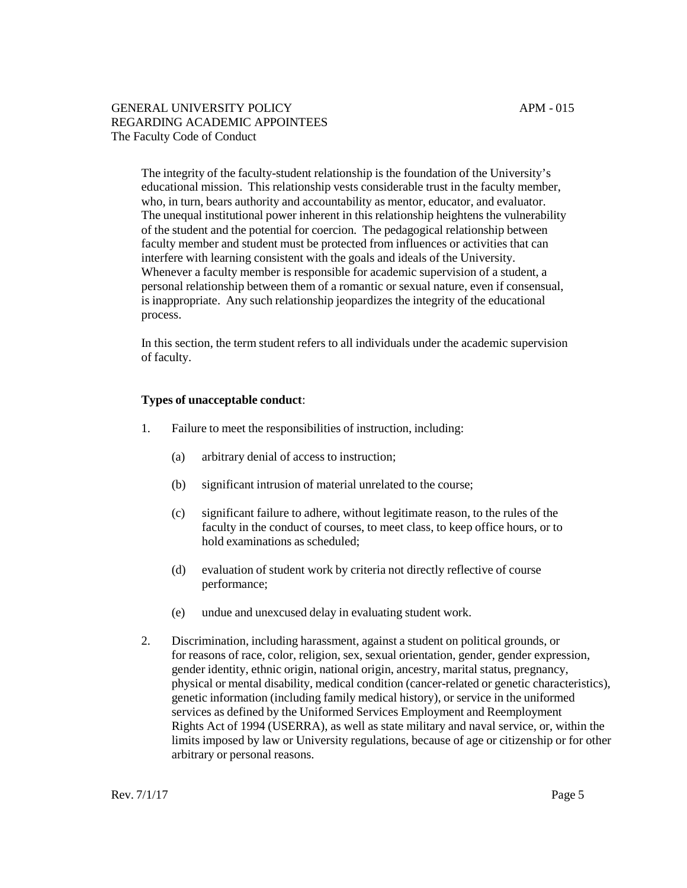The integrity of the faculty-student relationship is the foundation of the University's educational mission. This relationship vests considerable trust in the faculty member, who, in turn, bears authority and accountability as mentor, educator, and evaluator. The unequal institutional power inherent in this relationship heightens the vulnerability of the student and the potential for coercion. The pedagogical relationship between faculty member and student must be protected from influences or activities that can interfere with learning consistent with the goals and ideals of the University. Whenever a faculty member is responsible for academic supervision of a student, a personal relationship between them of a romantic or sexual nature, even if consensual, is inappropriate. Any such relationship jeopardizes the integrity of the educational process.

In this section, the term student refers to all individuals under the academic supervision of faculty.

## **Types of unacceptable conduct**:

- 1. Failure to meet the responsibilities of instruction, including:
	- (a) arbitrary denial of access to instruction;
	- (b) significant intrusion of material unrelated to the course;
	- (c) significant failure to adhere, without legitimate reason, to the rules of the faculty in the conduct of courses, to meet class, to keep office hours, or to hold examinations as scheduled;
	- (d) evaluation of student work by criteria not directly reflective of course performance;
	- (e) undue and unexcused delay in evaluating student work.
- 2. Discrimination, including harassment, against a student on political grounds, or for reasons of race, color, religion, sex, sexual orientation, gender, gender expression, gender identity, ethnic origin, national origin, ancestry, marital status, pregnancy, physical or mental disability, medical condition (cancer-related or genetic characteristics), genetic information (including family medical history), or service in the uniformed services as defined by the Uniformed Services Employment and Reemployment Rights Act of 1994 (USERRA), as well as state military and naval service, or, within the limits imposed by law or University regulations, because of age or citizenship or for other arbitrary or personal reasons.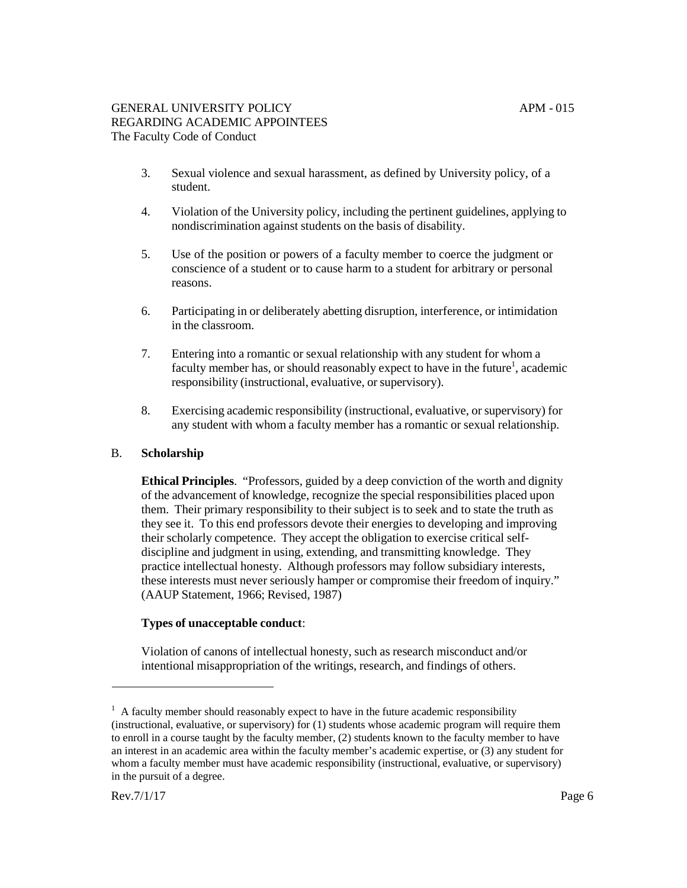- 3. Sexual violence and sexual harassment, as defined by University policy, of a student.
- 4. Violation of the University policy, including the pertinent guidelines, applying to nondiscrimination against students on the basis of disability.
- 5. Use of the position or powers of a faculty member to coerce the judgment or conscience of a student or to cause harm to a student for arbitrary or personal reasons.
- 6. Participating in or deliberately abetting disruption, interference, or intimidation in the classroom.
- 7. Entering into a romantic or sexual relationship with any student for whom a faculty member has, or should reasonably expect to have in the future<sup>1</sup>, academic responsibility (instructional, evaluative, or supervisory).
- 8. Exercising academic responsibility (instructional, evaluative, or supervisory) for any student with whom a faculty member has a romantic or sexual relationship.

# B. **Scholarship**

**Ethical Principles**. "Professors, guided by a deep conviction of the worth and dignity of the advancement of knowledge, recognize the special responsibilities placed upon them. Their primary responsibility to their subject is to seek and to state the truth as they see it. To this end professors devote their energies to developing and improving their scholarly competence. They accept the obligation to exercise critical selfdiscipline and judgment in using, extending, and transmitting knowledge. They practice intellectual honesty. Although professors may follow subsidiary interests, these interests must never seriously hamper or compromise their freedom of inquiry." (AAUP Statement, 1966; Revised, 1987)

## **Types of unacceptable conduct**:

Violation of canons of intellectual honesty, such as research misconduct and/or intentional misappropriation of the writings, research, and findings of others.

 $1$  A faculty member should reasonably expect to have in the future academic responsibility (instructional, evaluative, or supervisory) for (1) students whose academic program will require them to enroll in a course taught by the faculty member, (2) students known to the faculty member to have an interest in an academic area within the faculty member's academic expertise, or (3) any student for whom a faculty member must have academic responsibility (instructional, evaluative, or supervisory) in the pursuit of a degree.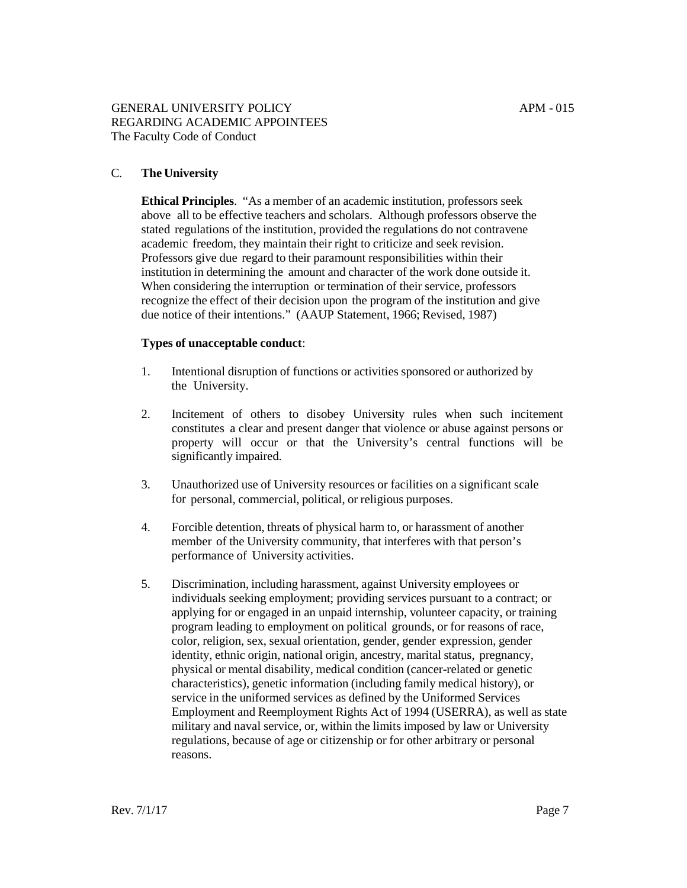## C. **The University**

**Ethical Principles**. "As a member of an academic institution, professors seek above all to be effective teachers and scholars. Although professors observe the stated regulations of the institution, provided the regulations do not contravene academic freedom, they maintain their right to criticize and seek revision. Professors give due regard to their paramount responsibilities within their institution in determining the amount and character of the work done outside it. When considering the interruption or termination of their service, professors recognize the effect of their decision upon the program of the institution and give due notice of their intentions." (AAUP Statement, 1966; Revised, 1987)

#### **Types of unacceptable conduct**:

- 1. Intentional disruption of functions or activities sponsored or authorized by the University.
- 2. Incitement of others to disobey University rules when such incitement constitutes a clear and present danger that violence or abuse against persons or property will occur or that the University's central functions will be significantly impaired.
- 3. Unauthorized use of University resources or facilities on a significant scale for personal, commercial, political, or religious purposes.
- 4. Forcible detention, threats of physical harm to, or harassment of another member of the University community, that interferes with that person's performance of University activities.
- 5. Discrimination, including harassment, against University employees or individuals seeking employment; providing services pursuant to a contract; or applying for or engaged in an unpaid internship, volunteer capacity, or training program leading to employment on political grounds, or for reasons of race, color, religion, sex, sexual orientation, gender, gender expression, gender identity, ethnic origin, national origin, ancestry, marital status, pregnancy, physical or mental disability, medical condition (cancer-related or genetic characteristics), genetic information (including family medical history), or service in the uniformed services as defined by the Uniformed Services Employment and Reemployment Rights Act of 1994 (USERRA), as well as state military and naval service, or, within the limits imposed by law or University regulations, because of age or citizenship or for other arbitrary or personal reasons.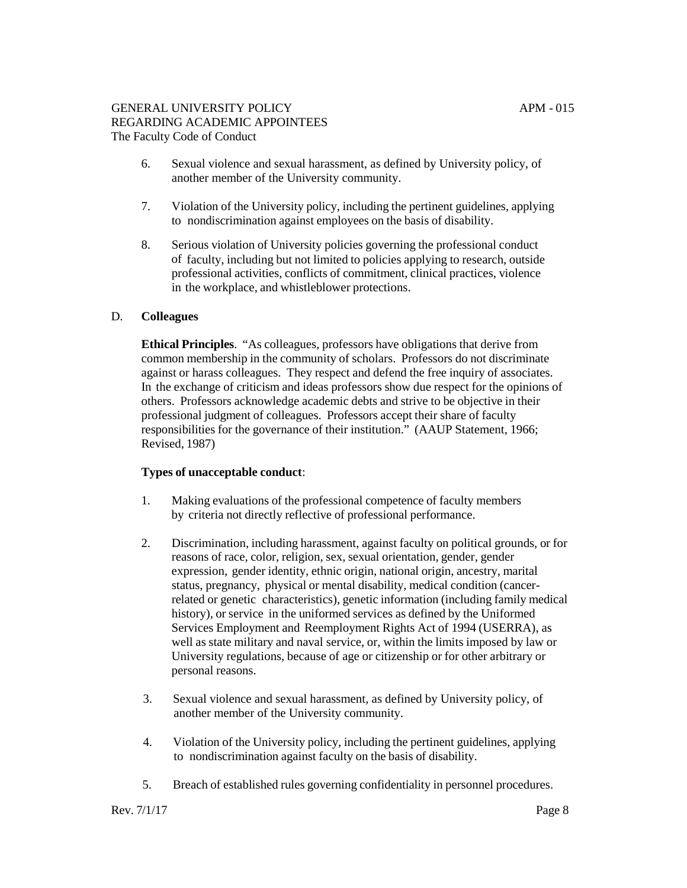- 6. Sexual violence and sexual harassment, as defined by University policy, of another member of the University community.
- 7. Violation of the University policy, including the pertinent guidelines, applying to nondiscrimination against employees on the basis of disability.
- 8. Serious violation of University policies governing the professional conduct of faculty, including but not limited to policies applying to research, outside professional activities, conflicts of commitment, clinical practices, violence in the workplace, and whistleblower protections.

## D. **Colleagues**

**Ethical Principles**. "As colleagues, professors have obligations that derive from common membership in the community of scholars. Professors do not discriminate against or harass colleagues. They respect and defend the free inquiry of associates. In the exchange of criticism and ideas professors show due respect for the opinions of others. Professors acknowledge academic debts and strive to be objective in their professional judgment of colleagues. Professors accept their share of faculty responsibilities for the governance of their institution." (AAUP Statement, 1966; Revised, 1987)

## **Types of unacceptable conduct**:

- 1. Making evaluations of the professional competence of faculty members by criteria not directly reflective of professional performance.
- 2. Discrimination, including harassment, against faculty on political grounds, or for reasons of race, color, religion, sex, sexual orientation, gender, gender expression, gender identity, ethnic origin, national origin, ancestry, marital status, pregnancy, physical or mental disability, medical condition (cancerrelated or genetic characteristics), genetic information (including family medical history), or service in the uniformed services as defined by the Uniformed Services Employment and Reemployment Rights Act of 1994 (USERRA), as well as state military and naval service, or, within the limits imposed by law or University regulations, because of age or citizenship or for other arbitrary or personal reasons.
- 3. Sexual violence and sexual harassment, as defined by University policy, of another member of the University community.
- 4. Violation of the University policy, including the pertinent guidelines, applying to nondiscrimination against faculty on the basis of disability.
- 5. Breach of established rules governing confidentiality in personnel procedures.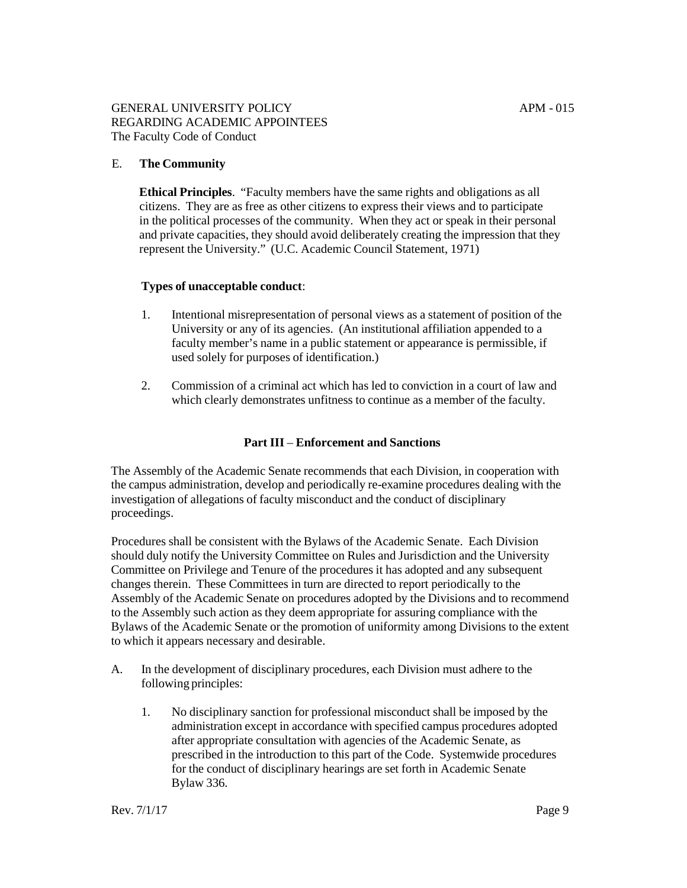## E. **The Community**

**Ethical Principles**. "Faculty members have the same rights and obligations as all citizens. They are as free as other citizens to express their views and to participate in the political processes of the community. When they act or speak in their personal and private capacities, they should avoid deliberately creating the impression that they represent the University." (U.C. Academic Council Statement, 1971)

## <span id="page-8-0"></span>**Types of unacceptable conduct**:

- 1. Intentional misrepresentation of personal views as a statement of position of the University or any of its agencies. (An institutional affiliation appended to a faculty member's name in a public statement or appearance is permissible, if used solely for purposes of identification.)
- 2. Commission of a criminal act which has led to conviction in a court of law and which clearly demonstrates unfitness to continue as a member of the faculty.

#### **Part III** – **Enforcement and Sanctions**

The Assembly of the Academic Senate recommends that each Division, in cooperation with the campus administration, develop and periodically re-examine procedures dealing with the investigation of allegations of faculty misconduct and the conduct of disciplinary proceedings.

Procedures shall be consistent with the Bylaws of the Academic Senate. Each Division should duly notify the University Committee on Rules and Jurisdiction and the University Committee on Privilege and Tenure of the procedures it has adopted and any subsequent changes therein. These Committees in turn are directed to report periodically to the Assembly of the Academic Senate on procedures adopted by the Divisions and to recommend to the Assembly such action as they deem appropriate for assuring compliance with the Bylaws of the Academic Senate or the promotion of uniformity among Divisions to the extent to which it appears necessary and desirable.

- A. In the development of disciplinary procedures, each Division must adhere to the following principles:
	- 1. No disciplinary sanction for professional misconduct shall be imposed by the administration except in accordance with specified campus procedures adopted after appropriate consultation with agencies of the Academic Senate, as prescribed in the introduction to this part of the Code. Systemwide procedures for the conduct of disciplinary hearings are set forth in Academic Senate [Bylaw](#page-8-0) 336.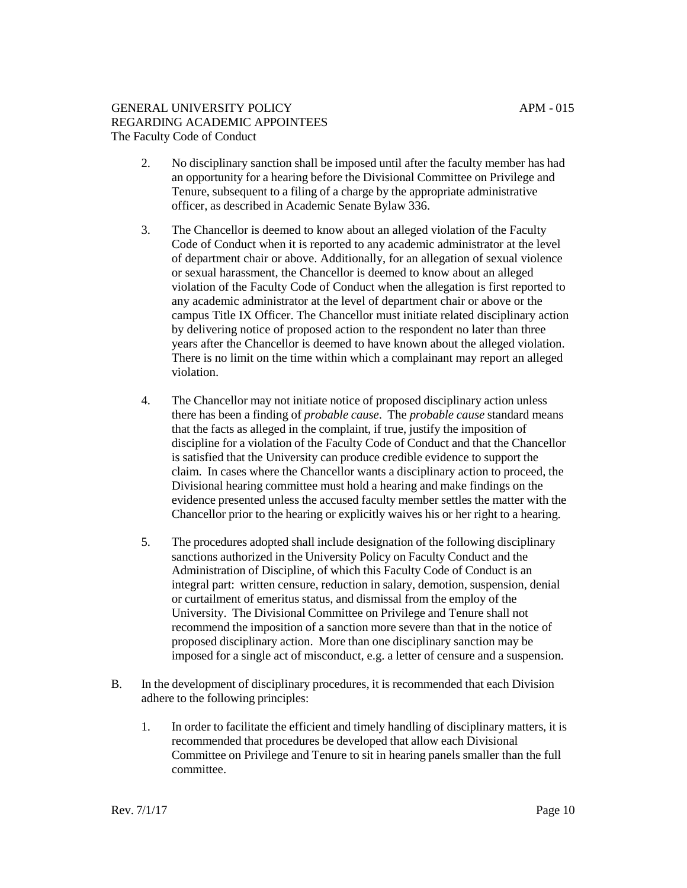- 2. No disciplinary sanction shall be imposed until after the faculty member has had an opportunity for a hearing before the Divisional Committee on Privilege and Tenure, subsequent to a filing of a charge by the appropriate administrative officer, as described in Academic Senate Bylaw 336.
- 3. The Chancellor is deemed to know about an alleged violation of the Faculty Code of Conduct when it is reported to any academic administrator at the level of department chair or above. Additionally, for an allegation of sexual violence or sexual harassment, the Chancellor is deemed to know about an alleged violation of the Faculty Code of Conduct when the allegation is first reported to any academic administrator at the level of department chair or above or the campus Title IX Officer. The Chancellor must initiate related disciplinary action by delivering notice of proposed action to the respondent no later than three years after the Chancellor is deemed to have known about the alleged violation. There is no limit on the time within which a complainant may report an alleged violation.
- 4. The Chancellor may not initiate notice of proposed disciplinary action unless there has been a finding of *probable cause*. The *probable cause* standard means that the facts as alleged in the complaint, if true, justify the imposition of discipline for a violation of the Faculty Code of Conduct and that the Chancellor is satisfied that the University can produce credible evidence to support the claim. In cases where the Chancellor wants a disciplinary action to proceed, the Divisional hearing committee must hold a hearing and make findings on the evidence presented unless the accused faculty member settles the matter with the Chancellor prior to the hearing or explicitly waives his or her right to a hearing.
- 5. The procedures adopted shall include designation of the following disciplinary sanctions authorized in the University Policy on Faculty Conduct and the Administration of Discipline, of which this Faculty Code of Conduct is an integral part: written censure, reduction in salary, demotion, suspension, denial or curtailment of emeritus status, and dismissal from the employ of the University. The Divisional Committee on Privilege and Tenure shall not recommend the imposition of a sanction more severe than that in the notice of proposed disciplinary action. More than one disciplinary sanction may be imposed for a single act of misconduct, e.g. a letter of censure and a suspension.
- B. In the development of disciplinary procedures, it is recommended that each Division adhere to the following principles:
	- 1. In order to facilitate the efficient and timely handling of disciplinary matters, it is recommended that procedures be developed that allow each Divisional Committee on Privilege and Tenure to sit in hearing panels smaller than the full committee.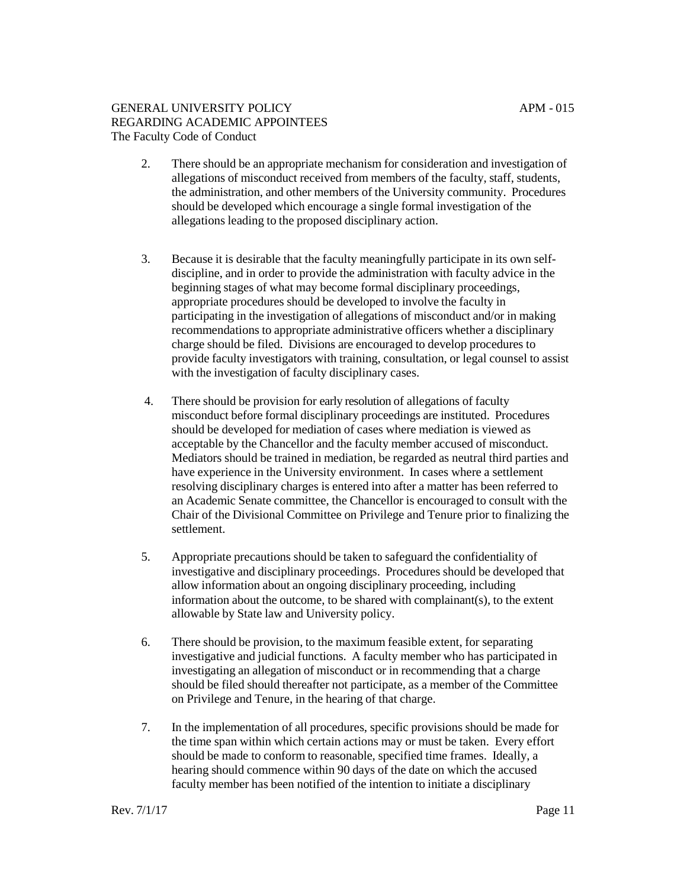- 2. There should be an appropriate mechanism for consideration and investigation of allegations of misconduct received from members of the faculty, staff, students, the administration, and other members of the University community. Procedures should be developed which encourage a single formal investigation of the allegations leading to the proposed disciplinary action.
- 3. Because it is desirable that the faculty meaningfully participate in its own selfdiscipline, and in order to provide the administration with faculty advice in the beginning stages of what may become formal disciplinary proceedings, appropriate procedures should be developed to involve the faculty in participating in the investigation of allegations of misconduct and/or in making recommendations to appropriate administrative officers whether a disciplinary charge should be filed. Divisions are encouraged to develop procedures to provide faculty investigators with training, consultation, or legal counsel to assist with the investigation of faculty disciplinary cases.
- 4. There should be provision for early resolution of allegations of faculty misconduct before formal disciplinary proceedings are instituted. Procedures should be developed for mediation of cases where mediation is viewed as acceptable by the Chancellor and the faculty member accused of misconduct. Mediators should be trained in mediation, be regarded as neutral third parties and have experience in the University environment. In cases where a settlement resolving disciplinary charges is entered into after a matter has been referred to an Academic Senate committee, the Chancellor is encouraged to consult with the Chair of the Divisional Committee on Privilege and Tenure prior to finalizing the settlement.
- 5. Appropriate precautions should be taken to safeguard the confidentiality of investigative and disciplinary proceedings. Procedures should be developed that allow information about an ongoing disciplinary proceeding, including information about the outcome, to be shared with complainant(s), to the extent allowable by State law and University policy.
- 6. There should be provision, to the maximum feasible extent, for separating investigative and judicial functions. A faculty member who has participated in investigating an allegation of misconduct or in recommending that a charge should be filed should thereafter not participate, as a member of the Committee on Privilege and Tenure, in the hearing of that charge.
- 7. In the implementation of all procedures, specific provisions should be made for the time span within which certain actions may or must be taken. Every effort should be made to conform to reasonable, specified time frames. Ideally, a hearing should commence within 90 days of the date on which the accused faculty member has been notified of the intention to initiate a disciplinary